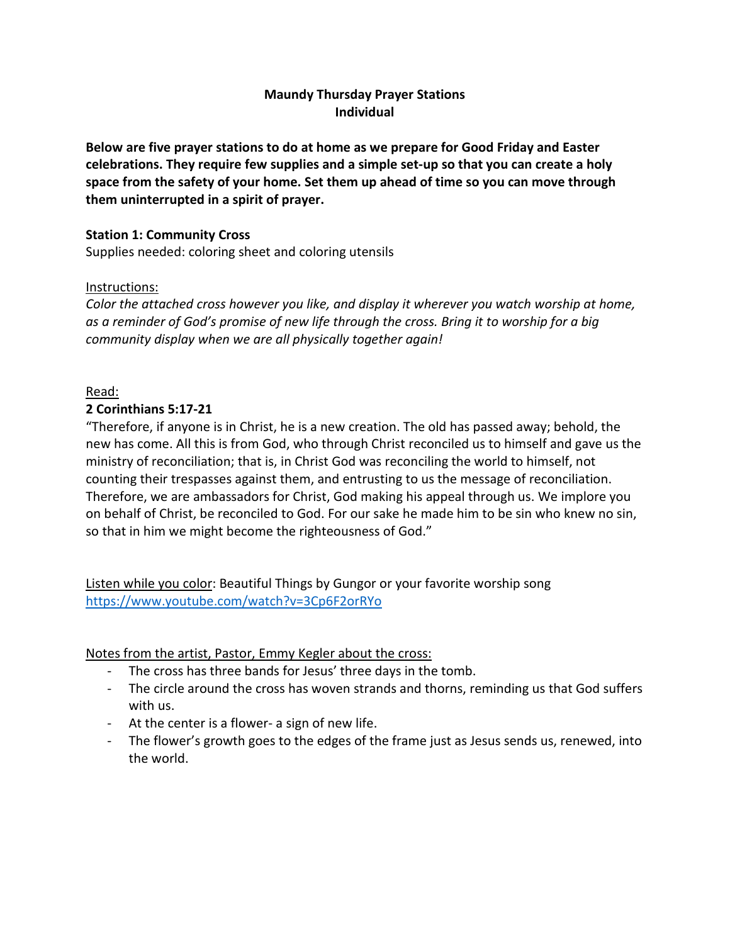# **Maundy Thursday Prayer Stations Individual**

**Below are five prayer stations to do at home as we prepare for Good Friday and Easter celebrations. They require few supplies and a simple set-up so that you can create a holy space from the safety of your home. Set them up ahead of time so you can move through them uninterrupted in a spirit of prayer.**

## **Station 1: Community Cross**

Supplies needed: coloring sheet and coloring utensils

## Instructions:

*Color the attached cross however you like, and display it wherever you watch worship at home, as a reminder of God's promise of new life through the cross. Bring it to worship for a big community display when we are all physically together again!* 

# Read:

## **2 Corinthians 5:17-21**

"Therefore, if anyone is in Christ, he is a new creation. The old has passed away; behold, the new has come. All this is from God, who through Christ reconciled us to himself and gave us the ministry of reconciliation; that is, in Christ God was reconciling the world to himself, not counting their trespasses against them, and entrusting to us the message of reconciliation. Therefore, we are ambassadors for Christ, God making his appeal through us. We implore you on behalf of Christ, be reconciled to God. For our sake he made him to be sin who knew no sin, so that in him we might become the righteousness of God."

Listen while you color: Beautiful Things by Gungor or your favorite worship song <https://www.youtube.com/watch?v=3Cp6F2orRYo>

# Notes from the artist, Pastor, Emmy Kegler about the cross:

- The cross has three bands for Jesus' three days in the tomb.
- The circle around the cross has woven strands and thorns, reminding us that God suffers with us.
- At the center is a flower- a sign of new life.
- The flower's growth goes to the edges of the frame just as Jesus sends us, renewed, into the world.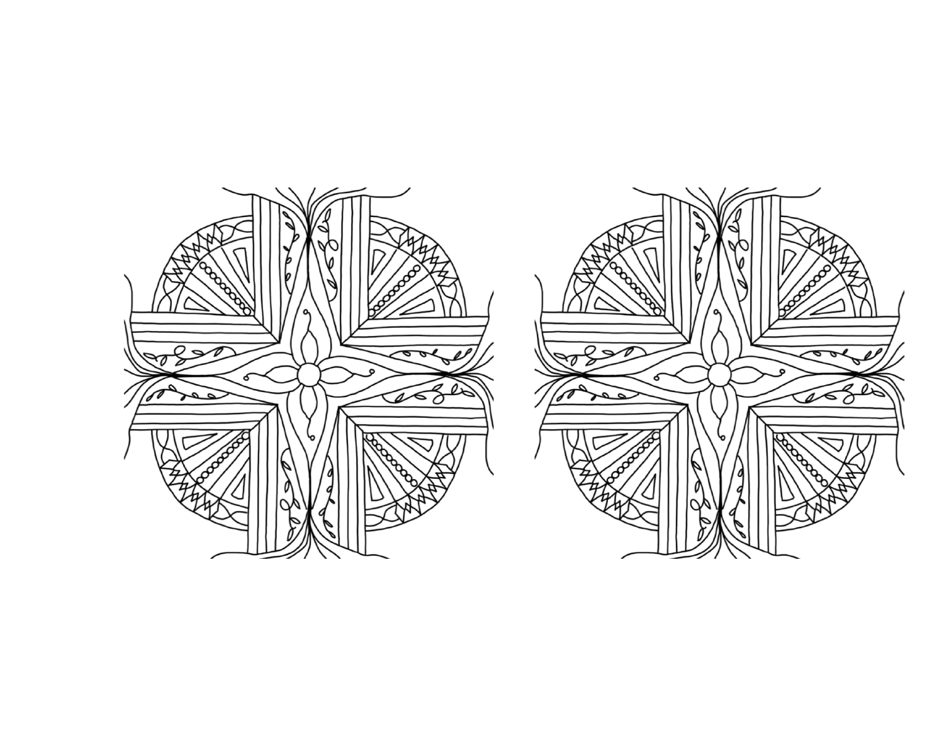

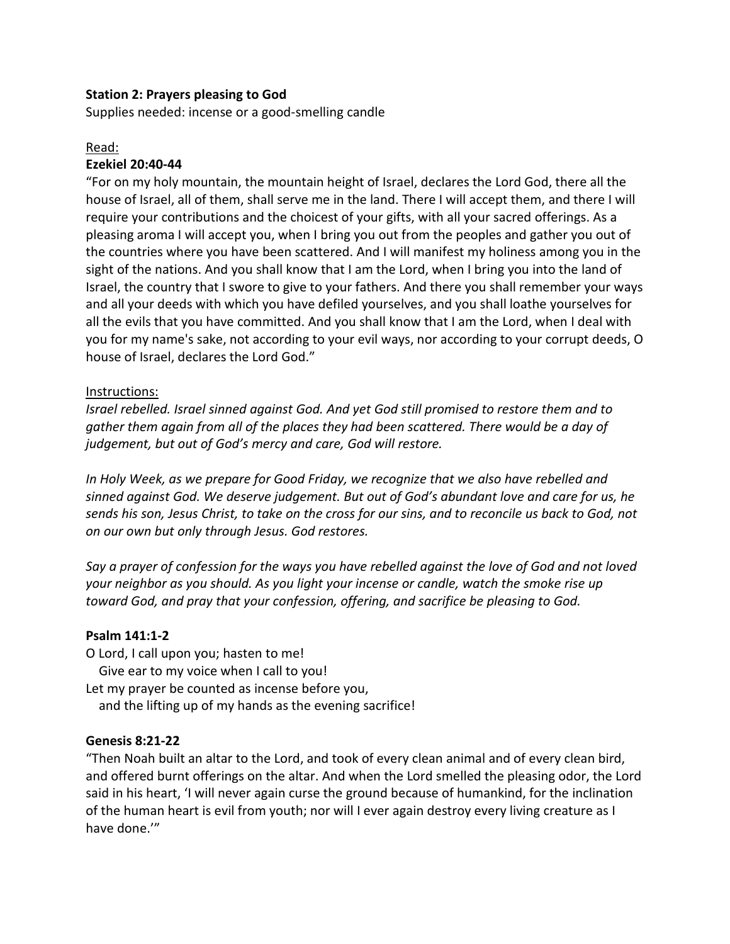### **Station 2: Prayers pleasing to God**

Supplies needed: incense or a good-smelling candle

## Read:

### **Ezekiel 20:40-44**

"For on my holy mountain, the mountain height of Israel, declares the Lord God, there all the house of Israel, all of them, shall serve me in the land. There I will accept them, and there I will require your contributions and the choicest of your gifts, with all your sacred offerings. As a pleasing aroma I will accept you, when I bring you out from the peoples and gather you out of the countries where you have been scattered. And I will manifest my holiness among you in the sight of the nations. And you shall know that I am the Lord, when I bring you into the land of Israel, the country that I swore to give to your fathers. And there you shall remember your ways and all your deeds with which you have defiled yourselves, and you shall loathe yourselves for all the evils that you have committed. And you shall know that I am the Lord, when I deal with you for my name's sake, not according to your evil ways, nor according to your corrupt deeds, O house of Israel, declares the Lord God."

### Instructions:

*Israel rebelled. Israel sinned against God. And yet God still promised to restore them and to gather them again from all of the places they had been scattered. There would be a day of judgement, but out of God's mercy and care, God will restore.*

*In Holy Week, as we prepare for Good Friday, we recognize that we also have rebelled and sinned against God. We deserve judgement. But out of God's abundant love and care for us, he sends his son, Jesus Christ, to take on the cross for our sins, and to reconcile us back to God, not on our own but only through Jesus. God restores.*

*Say a prayer of confession for the ways you have rebelled against the love of God and not loved your neighbor as you should. As you light your incense or candle, watch the smoke rise up toward God, and pray that your confession, offering, and sacrifice be pleasing to God.*

### **Psalm 141:1-2**

- O Lord, I call upon you; hasten to me!
- Give ear to my voice when I call to you!
- Let my prayer be counted as incense before you,

and the lifting up of my hands as the evening sacrifice!

### **Genesis 8:21-22**

"Then Noah built an altar to the Lord, and took of every clean animal and of every clean bird, and offered burnt offerings on the altar. And when the Lord smelled the pleasing odor, the Lord said in his heart, 'I will never again curse the ground because of humankind, for the inclination of the human heart is evil from youth; nor will I ever again destroy every living creature as I have done.'"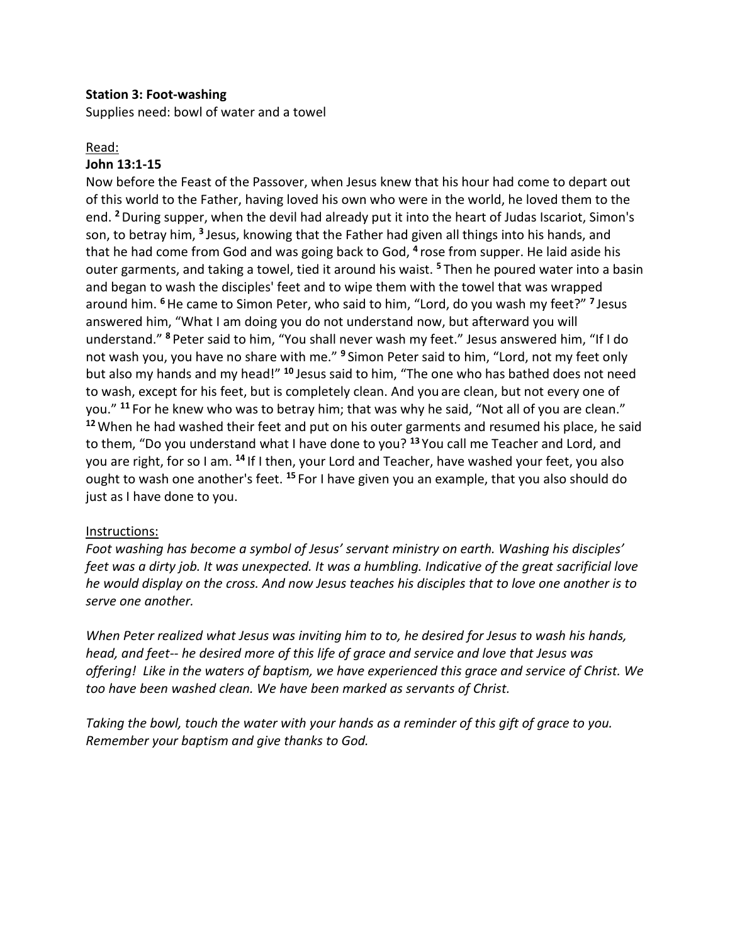#### **Station 3: Foot-washing**

Supplies need: bowl of water and a towel

### Read:

# **John 13:1-15**

Now before the Feast of the Passover, when Jesus knew that his hour had come to depart out of this world to the Father, having loved his own who were in the world, he loved them to the end. **<sup>2</sup>**During supper, when the devil had already put it into the heart of Judas Iscariot, Simon's son, to betray him, **<sup>3</sup>** Jesus, knowing that the Father had given all things into his hands, and that he had come from God and was going back to God, **<sup>4</sup>** rose from supper. He laid aside his outer garments, and taking a towel, tied it around his waist. **<sup>5</sup>** Then he poured water into a basin and began to wash the disciples' feet and to wipe them with the towel that was wrapped around him. **<sup>6</sup>**He came to Simon Peter, who said to him, "Lord, do you wash my feet?" **<sup>7</sup>** Jesus answered him, "What I am doing you do not understand now, but afterward you will understand." **<sup>8</sup>** Peter said to him, "You shall never wash my feet." Jesus answered him, "If I do not wash you, you have no share with me." **<sup>9</sup>** Simon Peter said to him, "Lord, not my feet only but also my hands and my head!" **<sup>10</sup>** Jesus said to him, "The one who has bathed does not need to wash, except for his feet, but is completely clean. And you are clean, but not every one of you." **<sup>11</sup>** For he knew who was to betray him; that was why he said, "Not all of you are clean." **<sup>12</sup>** When he had washed their feet and put on his outer garments and resumed his place, he said to them, "Do you understand what I have done to you? **<sup>13</sup>** You call me Teacher and Lord, and you are right, for so I am. **<sup>14</sup>** If I then, your Lord and Teacher, have washed your feet, you also ought to wash one another's feet. **<sup>15</sup>** For I have given you an example, that you also should do just as I have done to you.

### Instructions:

*Foot washing has become a symbol of Jesus' servant ministry on earth. Washing his disciples' feet was a dirty job. It was unexpected. It was a humbling. Indicative of the great sacrificial love he would display on the cross. And now Jesus teaches his disciples that to love one another is to serve one another.* 

*When Peter realized what Jesus was inviting him to to, he desired for Jesus to wash his hands, head, and feet-- he desired more of this life of grace and service and love that Jesus was offering! Like in the waters of baptism, we have experienced this grace and service of Christ. We too have been washed clean. We have been marked as servants of Christ.* 

*Taking the bowl, touch the water with your hands as a reminder of this gift of grace to you. Remember your baptism and give thanks to God.*